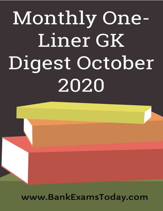

www.BankExamsToday.com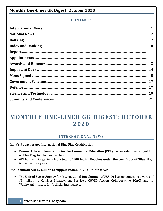# **CONTENTS**

# **MONTHLY ONE-LINER GK DIGEST: OCTOBER 2 0 2 0**

# **INTERNATIONAL NEWS**

### <span id="page-1-0"></span>**India's 8 beaches get International Blue Flag Certification**

- **Denmark based Foundation for Environmental Education (FEE)** has awarded the recognition of 'Blue Flag' to 8 Indian Beaches.
- GOI has set a target to bring **a total of 100 Indian Beaches under the certificate of 'Blue Flag'** in the next five years.

**USAID announced \$5 million to support Indian COVID-19 initiatives**

 The **United States Agency for International Development (USAID)** has announced to awards of \$5 million to Catalyst Management Service's **COVID Action Collaborative (CAC)** and to Wadhwani Institute for Artificial Intelligence.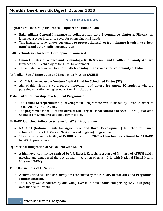# <span id="page-2-0"></span>**NATIONAL NEWS**

## **'Digital Suraksha Group Insurance'- Flipkart and Bajaj Allianz**

- **Bajaj Allianz General Insurance in collaboration with E-commerce platform,** Flipkart has launched a cyber insurance cover for online financial frauds.
- This insurance cover allows customers **to protect themselves from finance frauds like cyberattacks and other malicious activities.**

## **CSIR Technologies for Rural Development Launched**

- **Union Minister of Science and Technology, Earth Sciences and Health and Family Welfare** launched CSIR Technologies for Rural Development.
- The initiative is launched **to allow CSIR technologies to reach rural community of India.**

## **Ambedkar Social Innovation and Incubation Mission (ASIIM)**

- ASIIM is launched under **Venture Capital Fund for Scheduled Castes (SC).**
- Aim of this mission is **to promote innovation and enterprise among SC students** who are pursuing education in higher educational institutions.

## **Tribal Entrepreneurship Development Programme**

- The **Tribal Entrepreneurship Development Programme** was launched by Union Minister of Tribal Affairs, Arjun Munda.
- The programme is the **joint initiative of Ministry of Tribal Affairs and ASSOCHAM** (Associated Chambers of Commerce and Industry of India).

# **NABARD launched Refinance Scheme for WASH Programme**

- **NABARD (National Bank for Agriculture and Rural Development) launched refinance scheme** for the WASH (Water, Sanitation and Hygiene) programme.
- The special refinance facility of **Rs 800 crore for FY 2020-21 has been sanctioned by NABARD** for WASH programme.

# **Operational Integration of Ayush Grid with NDGM**

 A **high level committee chaired by Vd. Rajesh Kotech, secretary of Ministry of AYUSH** held a meeting and announced the operational integration of Ayush Grid with National Digital Health Mission (NDHM).

### **Time Use in India 2019 Survey**

- A survey titled as 'Time Use Survey' was conducted by the **Ministry of Statistics and Programme Implementation.**
- The survey was conducted by **analysing 1.39 lakh households comprising 4.47 lakh people**  over the age of 6 years.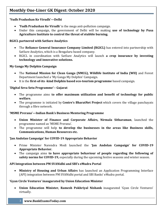### **'Yudh Pradushan Ke Virudh'—Delhi**

- **'Yudh Pradushan Ke Virudh'** is the mega anti-pollution campaign.
- Under this campaign, the government of Delhi will be making **use of technology by Pusa Agriculture Institute to control the threat of stubble burning.**

### **RGICL partnered with SatSure Analytics**

- The **Reliance General Insurance Company Limited (RGICL)** has entered into partnership with SatSure Analytics, which is a Bengaluru based company.
- RGICL in coordination with SatSure Analytics will launch **a crop insurance by investing technology and innovative solutions.**

### **My Ganga My Dolphin Campaign**

- The **National Mission for Clean Ganga (NMCG), Wildlife Institute of India (WII)** and Forest Department launched a 'My Ganga My Dolphin' Campaign.
- It is the **first-of-its -kind Dolphin based eco-tourism programme** based campaign.

### **'Digital Seva Setu Programme'-- Gujarat**

- The programme aims **to offer maximum utilization and benefit of technology for public welfare.**
- The programme is initiated by **Centre's BharatNet Project** which covers the village panchayats through a fibre network.

### **'MSME Prerana'—Indian Bank's Business Mentoring Programme**

- **Union Minister of Finance and Corporate Affairs, Nirmala Sitharaman**, launched the programme named as 'MSME Prerana'.
- The programme will help **to develop the businesses in the areas like Business skills, Communications, Human Resources etc.**

### **'Jan Andolan Campaign' for COVID-19 Appropriate Behavior**

- Prime Minister Narendra Modi launched the **'Jan Andolan Campaign' for COVID-19 Appropriate Behavior.**
- The campaign aims **to have appropriate behaviour of people regarding the following of safety norms for COVID-19,** especially during the upcoming festive seasons and winter season.

### **API Integration between PM SVANidhi and SBI's eMudra Portal**

 **Ministry of Housing and Urban Affairs** has launched an Application Programming Interface (API) integration between PM SVANidhi portal and SBI Banks' eMudra portal.

### **'Gyan Circle Ventures' inaugurated by Union Education Minister**

 **Union Education Minister, Ramesh Pokhriyal Nishank** inaugurated 'Gyan Circle Ventures' virtually.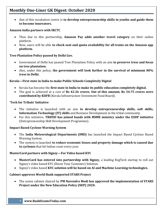Aim of this incubation centre is **to develop entrepreneurship skills in youths and guide them to become innovators.**

### **Amazon India partners with IRCTC**

- Thus due to this partnership, **Amazon Pay adds another travel category** on their online platform.
- Now, users will be able **to check seat and quota availability for all trains on the Amazon app platform.**

### **Tree Plantation Policy passed by Delhi Gov.**

- Government of Delhi has passed Tree Plantation Policy with an aim **to preserve tress and focus on tree plantation.**
- Also, under this policy, **the government will look further in the survival of minimum 80% tress in Delhi.**

### **Kerala—First state in India to make Public Schools Completely Digital**

- Kerala has become the **first state in India to make its public education completely digital.**
- The goal is achieved at a cost of **Rs 42.36 crores. Out of this amount, Rs 34.75 crores were contributed by KIIFB** (Kerala Infrastructure Investment Fund Board).

### **'Tech for Tribals' Initiative**

- The initiative is launched with an aim **to develop entrepreneurship skills, soft skills, Information Technology (IT) skills** and Business Development in the tribal community.
- For this initiative, **TRIFED has joined hands with MSME ministry under the ESDP initiative** (Entrepreneurship Skill Development Programme).

### **Impact Based Cyclone Warning System**

- The **India Meteorological Departments (IMD)** has launched the Impact Based Cyclone Based Warning System.
- The system is launched **to reduce economic losses and property damage which is caused due to cyclones** that hit Indian coast every year.

### **MasterCard partners with Signzy—For Video based KYC**

- **MasterCard has entered into partnership with Signzy,** a leading RegTech startup to roll out Signzy's video based KYC (Know Your Customer) Solution.
- Signzy's video based **KYC solution will be based on AI and Machine Learning technologies.**

### **Cabinet approves World Bank supported STARS Project**

 The union cabinet chaired by **PM Narendra Modi has approved the implementation of STARS Project under the New Education Policy (NEP) 2020.**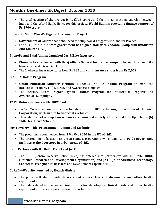The **total costing of the project is Rs 5718 crores** and the project is the partnership between India and the World Bank. Hence for this project, **World Bank is providing finance support of Rs 3700 crore.**

### **Gujarat to Setup World's Biggest Zinc Smelter Project**

- **Government of Gujarat** has announced to setup World's biggest Zinc Smelter Project.
- For this purpose, the **state government has signed MoU with Vedanta Group firm Hindustan Zinc Limited (HZL).**

### **PhonePe and Bajaj Allianz Launched Car & Bike Insurance**

- **PhonePe has partnered with Bajaj Allianz General Insurance Company** to launch car and bike insurance products on its platform.
- The 2 wheeler insurance starts from **Rs 482 and car insurance starts from Rs 2,072.**

### **'KAPILA' Kalam Program**

- **Union Education Minister virtually launched 'KAPILA' Kalam Program** to mark the Intellectual Property (IP) Literacy and Awareness campaign.
- The 'KAPILA' Kalam Program signifies **'Kalam Program for Intellectual Property and Awareness Campaign'.**

### **TATA Motors partners with HDFC Bank**

- TATA Motors announced a partnership with **HDFC (Housing Development Finance Corporation) with an aim to finance its vehicles.**
- Through this partnership, **two schemes are launched namely: (a) Gradual Step Up Scheme (b) TML Flexi Drive Scheme.**

### **'My Town My Pride' Programme – Jammu and Kashmir**

- The programme commenced from **19th Oct 2020 in the UT of J&K.**
- The programme is basically an urban connect programme which aims **to provide governance facilities at the doorsteps in urban areas of J&K.**

### **CRPF Partners with IIT Delhi, DRDO and JATC**

 The CRPF (Central Reserve Police Force) has entered into partnership with IIT Delhi, DRDO **(Defence Research and Development Organisation) and JATC (Joint Advanced Technology Centre)** to strengthen its Research and Development capabilities.

### **CUReD—Website launched by Health Minister**

- The portal will also provide details **about clinical trials of diagnostics and other health equipments.**
- The data related **to partnered institutions for developing clinical trials and other health equipments** will also be provided on this portal.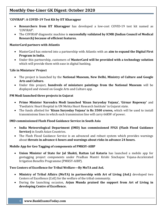### **'COVIRAP': A COVID-19 Test Kit by IIT Kharagpur**

- **Researchers from IIT Kharagpur** has developed a low-cost COVID-19 test kit named as 'COVIRAP'.
- The COVIRAP diagnostic machine is **successfully validated by ICMR (Indian Council of Medical Research) because of efficient features.**

### **MasterCard partners with Atlantis**

- MasterCard has entered into a partnership with Atlantis with an **aim to expand the Digital First Program in India.**
- Under this partnership, customers of **MasterCard will be provided with a technology solution**  which will provide them with ease in digital banking.

### **'Life in Miniature' Project**

- The project is launched by the **National Museum, New Delhi, Ministry of Culture and Google Arts and Culture.**
- Under this project, **hundreds of miniature paintings from the National Museum** will be displayed and viewed on Google Arts and Culture app.

### **PM Modi launched three projects in Gujarat**

- **Prime Minister Narendra Modi launched 'Kisan Suryoday Yojana', 'Girnar Ropeway'** and 'Paediatric Heart Hospital in UN Mehta Heart Research Institute' in Gujarat state.
- The funds allotted for **'Kisan Suryoday Yojana' is Rs 3500 crores,** which will be used to install transmissions lines in which each transmission line will carry 66KW of power.

### **IMD commissioned Flash Flood Guidance Service in South Asia**

- **India Meteorological Department (IMD) has commissioned FFGS (Flash Flood Guidance Service)** in South Asian Countries.
- The Flash Flood Guidance Service is an advanced and robust system which provides warnings about **threats in advance 6 hours and warnings about risks in advance 24 hours.**

### **Mobile App for Geo Tagging of components of PMKSY-AIBP**

 **Union Minister of State for Jal Shakti, Rattan Lal Kataria** has launched a mobile app for geotagging project components under Pradhan Mantri Krishi Sinchayee Yojana-Accelerated Irrigation Benefits Programme (PMKSY-AIBP).

### **Two Centers of Excellence for Tribal Welfare—By MoTA and AoL**

- **Ministry of Tribal Affairs (MoTA) in partnership with Art of Living (AoL)** developed two Centers of Excellence (CoE) for the welfare of the tribal community.
- During the launching occasion, **Arjun Munda praised the support from Art of Living in developing Centre of Excellence.**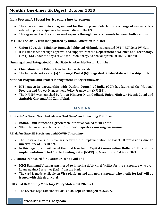### **India Post and US Postal Service enters into Agreement**

- They have entered into **an agreement for the purpose of electronic exchange of customs data** related to postal shipments between India and the US.
- This agreement will lead **to ease of exports through postal channels between both nations.**

### **DST-IIEST Solar PV Hub inaugurated by Union Education Minister**

- **Union Education Minister, Ramesh Pokhriyal Nishank** inaugurated DST-IIEST Solar PV Hub.
- It is established through approval and support from the **Department of Science and Technology (DST),** GOI under the aegis of CoE for Green Energy ad Sensor System at IIEST, Shibpur.

### **'Sumangal' and 'Integrated Odisha State Scholarship Portal' launched**

- **Chief Minister of Odisha** launched two web portals.
- The two web portals are: **(a) Sumangal Portal (b)Integrated Odisha State Scholarship Portal.**

### **National Program and Project Management Policy Framework**

- **NITI Aayog in partnership with Quality Council of India (QCI)** has launched the 'National Program and Project Management Policy Framework (NPMPF)'.
- The NPMPF was launched by **Union Minister Nitin Gadkari, Union Minister Piyush Goyal and Amitabh Kant and Adil Zainulbhai.**

# **BANKING**

### <span id="page-7-0"></span>**'IB-eNote', a Green Tech Initiative & 'Ind Guru', an E-learning Platform**

- **Indian Bank launched a green tech initiative** named as 'IB-eNote'.
- 'IB-eNote' initiative is launched **to support paperless working environment.**

### **RBI defers Basel III Provisions amid COVID Uncertainty**

- The Reserve Bank of India has deferred the implementation of **Basel III provisions due to uncertainty of COVID-19.**
- In this regard, RBI will repel the final tranche of **Capital Conservation Buffer (CCB) and the implementation of Net Stable Funding Ratio (NSFR)** by 6 months i.e. 1st April 2021.

### **ICICI offers Debit card for Customers who avail LAS**

- **ICICI Bank and Visa has partnered to launch a debit card facility for the customers** who avail Loans Against Securities (LAS) from the bank.
- The card is made available on **Visa platform and any new customer who avails for LAS will be issued with this debit card.**

### **RBI's 3rd Bi-Monthly Monetary Policy Statement 2020-21**

The reverse repo rate under **LAF is also kept unchanged to 3.35%.**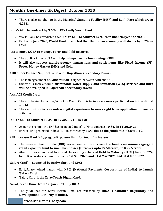There is also **no change in the Marginal Standing Facility (MSF) and Bank Rate which are at 4.25%.**

### **India's GDP to contract by 9.6% in FY21—By World Bank**

- World Bank has predicted that **India's GDP to contract by 9.6% in financial year of 2021.**
- Earlier in June 2020, **World Bank predicted that the Indian economy will shrink by 3.2% in FY21.**

### **RBI to move NGTA to manage Forex and Gold Reserves**

- The application of NGTA will help **to improve the functioning of RBI.**
- It will also support **multi-currency transactions and settlements like Fixed Income (FI), Forex, Money Market (MM) and Gold.**

### **ADB offers Finance Support to Develop Rajasthan's Secondary Towns**

- The loan agreement of **\$300 million** is signed between ADB and GOI.
- Under this loan amount, **sustainable water supply and sanitation (WSS) services and infra will be developed in Rajasthan's secondary towns.**

### **Axis ACE Credit Card**

- The aim behind launching 'Axis ACE Credit Card' is **to increase users participation in the digital world.**
- The card will **offer a seamless digital experience to users right from application** to issuance activities.

### **India's GDP to contract 10.3% in FY 2020-21—By IMF**

- As per the report, the IMF has projected India's GDP to contract **10.3% in FY 2020-21.**
- Earlier, IMF projected India's GDP to contract by **4.5% due to the pandemic of COVID-19.**

### **RBI increases Bank's Aggregate Exposure limit for Small Businesses**

- The Reserve Bank of India (RBI) has announced **to increase the bank's maximum aggregate retail exposure limit to small businesses (turnover upto Rs 50 crore) to Rs 7.5 crore.**
- Also, RBI has announced to extend the existing enhanced **Held to Maturity (HTM) limit of 22%** for SLR securities acquired between **1st Sep 2020 and 31st Mar 2021 and 31st Mar 2022.**

### **'Salary Card'--- Launched by EarlySalary and NPCI**

- EarlySalary joined hands with **NPCI (National Payments Corporation of India) to launch 'Salary Card'.**
- 'Salary Card' is the **Zero-Touch Digital Card.**

### **'Saral Jeevan Bima' from 1st Jan 2021—By IRDAI**

 The guidelines for 'Saral Jeevan Bima' are released by **IRDAI (Insurance Regulatory and Development Authority of India).**

### 8 **www.BankExamsToday.com**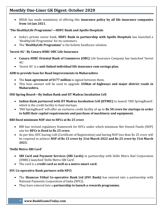IRDAI has made mandatory of offering this **insurance policy by all life insurance companies from 1st Jan 2021.**

### **'The HealthyLife Programme'—HDFC Bank and Apollo Hospitals**

- India's private sector bank, **HDFC Bank in partnership with Apollo Hospitals** has launched a 'HealthyLife Programme' for its customers.
- The **'HealthyLife Programme'** is the holistic heathcare solution.

### **'Invest 4G'- By Canara HSBC OBC Life Insurance**

- **Canara HSBC Oriental Bank of Commerce (OBC)** Life Insurance Company has launched 'Invest 4G'.
- 'Invest 4G' is a **unit-linked individual life insurance cum savings plan.**

### **ADB to provide loan for Road Improvements in Maharashtra**

- The **loan agreement of \$177 million** is signed between them.
- This loan amount will be used to upgrade **450km of highways and major district roads in Maharashtra.**

### **IND Spring Board—By Indian Bank and IIT Madras Incubation Cell**

- **Indian Bank partnered with IIT Madras Incubation Cell (IITMIC)** to launch 'IND SpringBoard', which is the credit facility to fund startups.
- 'IND SpringBoard' will offer an exclusive credit facility of up to **Rs 50 crore for startups in order to fulfil their capital requirements and purchase of machinery and equipment.**

### **RBI fixed minimum NOF size to HFCs at Rs 25 crore**

- RBI has revised regulatory framework for HFCs under which minimum Net Owned Funds (NOF) size for **HFCs is fixed to Rs 25 crore.**
- As per this, HFC having CoR (Certificate of Registration) and having NOF less than Rs 25 crore will be required to achieve **NOF of Rs 15 crore by 31st March 2022 and Rs 25 crore by 31st March 2023.**

### **'Delhi Metro-SBI Card'**

- **SBI Card and Payment Services (SBI Cards)** in partnership with Delhi Metro Rail Corporation (DMRC) launched 'Delhi Metro-SBI Card'.
- The card is a **credit card as well as a metro smart card.**

### **SVC Co-operative Bank partners with NPCI**

- The **Shamrao Vithal Co-operative Bank Ltd (SVC Bank)** has entered into a partnership with National Payments Corporation of India (NPCI).
- They have entered into a **partnership to launch a rewards programme.**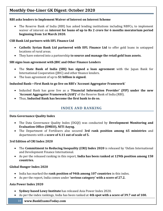### **RBI asks lenders to Implement Waiver of Interest on Interest Scheme**

 The Reserve Bank of India (RBI) has asked lending institutions including NBFCs, to implement waiver of interest on **interest for loans of up to Rs 2 crore for 6 months moratorium period beginning from 1st March 2020.**

### **CSB Bank Ltd partners with IIFL Finance Ltd**

- **Catholic Syrian Bank Ltd partnered with IIFL Finance Ltd** to offer gold loans in untapped locations of rural areas.
- They have entered into a partnership **to source and manage the retail gold loan assets.**

### **SBI signs loan agreement with JBIC and Other Finance Lenders**

- The **State Bank of India (SBI) has signed a loan agreement** with the Japan Bank for International Cooperation (JBIC) and other finance lenders.
- The loan agreement of up to **\$1 billion is signed.**

### **IndusInd Bank—First Bank to go live on RBI's 'Account Aggregator Framework'**

- IndusInd Bank has gone live as a **'Financial Information Provider' (FIP) under the new 'Account Aggregator Framework (AAF)'** of the Reserve Bank of India (RBI).
- <span id="page-10-0"></span>Thus, **IndusInd Bank has become the first bank to do so.**

### **INDEX AND RANKING**

### **Data Governance Quality Index**

- The Data Governance Quality Index (DGQI) was conducted by **Development Monitoring and Evaluation Office (DMEO), NITI Aayog.**
- The Department of Fertilisers also secured **3rd rank position among 65 ministries** and departments with a **score of 4.11 out of scale of 5.**

### **3rd Edition of CRI Index 2020**

- The **Commitment to Reducing Inequality (CRI) Index 2020** is released by 'Oxfam International and Development Finance International.
- As per the released ranking in this report, **India has been ranked at 129th position among 158 countries.**

### **Global Hunger Index 2020**

- India has marked the **rank position of 94th among 107 countries** in this index.
- As per the report, India comes under **'serious category' with a score of 27.2.**

### **Asia Power Index 2020**

- **Sydney based Lowy Institute** has released Asia Power Index 2020.
- As per the index rankings, India has been ranked at **4th spot with a score of 39.7 out of 100.**
	- 10 **www.BankExamsToday.com**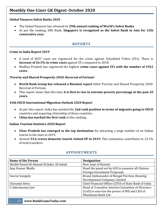### **Global Finances Safest Banks 2020**

- The Global Finances has released its **29th annual ranking of World's Safest Banks.**
- As per the ranking, DBS Bank, **Singapore is recognized as the Safest Bank in Asia for 12th consecutive year.**

### **REPORTS**

#### <span id="page-11-0"></span>**Crime in India Report 2019**

- A total of 8257 cases are registered for the crime against Scheduled Tribes (STs). There is **increase of 26.5% in crime cases** against STs compared to 2018.
- Madhya Pradesh has registered the highest **crime cases against STs with the number of 1922 cases.**

### **'Poverty and Shared Prosperity 2020: Reversal of Fortune'**

- **World Bank Group has released a Biennial report** titled 'Poverty and Shared Prosperity 2020: Reversal of Fortune.
- This report states that this time **it is first to rise in extreme poverty percentage in the past 20 years.**

### **44th OECD International Migration Outlook 2020 Report**

- As per this report, India has marked the **2nd rank position in terms of migrants going to OECD** countries and acquiring citizenship of those countries.
- **China has marked the first rank** in this ranking.

### **Indian Tourism Statistics 2020 Report**

- **Uttar Pradesh has emerged as the top destination** for attracting a large number of an Indian tourist in the state in 2019.
- Around **53.6 crores domestic tourist visited UP in 2019.** This estimation contributes to 23.1% of total travellers.

<span id="page-11-1"></span>

| <b>Name of the Person</b>               | <b>Designation</b>                                   |
|-----------------------------------------|------------------------------------------------------|
| Sheikh Nawaf Al-Ahmad Al-Jaber Al-Sabah | New emir of Kuwait                                   |
| Ajay Kumar Bhalla                       | Head the panel set by GOI to examine all Chinese     |
|                                         | <b>Foreign Investment Proposals</b>                  |
| Souray Ganguly                          | Brand Ambassador of Bengal Peerless Housing          |
|                                         | Development Company Limited                          |
| Charanjit Attra                         | Chief Financial Officer (CFO) of State Bank of India |
| G Subramonia Iyer                       | Head of 3 member interim Committee of Directors      |
|                                         | (CoD) to exercise the power of MD and CEO of         |
|                                         | Dhanlaxmi Bank Ltd                                   |

### **APPOINTMENTS**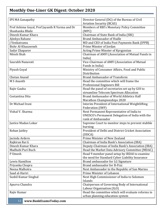| <b>IPS MA Ganapathy</b>                                           | Director General (DG) of the Bureau of Civil                         |
|-------------------------------------------------------------------|----------------------------------------------------------------------|
|                                                                   | <b>Aviation Security (BCAS)</b>                                      |
| Prof Ashima Goyal, Prof Jayanth R Varma and Dr<br>Shashanka Bhide | Members of RBI's Monetary Policy Committee<br>(MPC)                  |
| Dinesh Kumar Khara                                                | Chairman of State Bank of India (SBI)                                |
| Ajinkya Rahane                                                    | <b>Brand Ambassador of Hudle</b>                                     |
| I Venkatramu                                                      | MD and CEO of India Post Payments Bank (IPPB)                        |
| Bishr Al-Khasawneh                                                | Prime Minster of Jordan                                              |
| Sadyr Zhaparov                                                    | Acting Prime Minster of Kyrgyzstan                                   |
| Nilesh Shah                                                       | Chairman of AMFI (Association of Mutual Funds in<br>India)           |
| Saurabh Nanavati                                                  | Vice-Chairman of AMFI (Association of Mutual                         |
|                                                                   | Funds in India)                                                      |
| Piyush Goyal                                                      | Ministry of Consumer Affairs, Food and Public                        |
|                                                                   | Distribution                                                         |
| <b>Chetan Anand</b>                                               | <b>Brand Ambassador of Transform</b>                                 |
| M S Ananth                                                        | Head the committee which will frame the                              |
|                                                                   | <b>Professional Engineers Bill</b>                                   |
| Rajiv Gauba                                                       | Head the panel of secretaries set up by GOI to                       |
|                                                                   | streamline Telecom Spectrum Allocation                               |
| Costantina Dita                                                   | Brand Ambassador of World Athletics Half                             |
|                                                                   | <b>Marathon Championships 2020</b>                                   |
| Dr Michael Irani                                                  | Interim President of International Weightlifting<br>Federation (IWF) |
| Vishal V. Sharma                                                  | Next Permanent Representative of India to                            |
|                                                                   | UNESCO's Permanent Delegation of India with the                      |
|                                                                   | rank of Ambassador                                                   |
| Justice Madan Lokur                                               | Supreme Court to monitor steps to prevent stubble                    |
|                                                                   | burning                                                              |
| Rohan Jaitley                                                     | President of Delhi and District Cricket Association                  |
|                                                                   | (DDCA)                                                               |
| Jacinda Ardern                                                    | Prime Minister of New Zealand                                        |
| Rajkiran Rai G                                                    | Chairman of India Bank's Association (IBA)                           |
| Dinesh Kumar Khara                                                | Deputy-Chairman of India Bank's Association (IBA)                    |
| Madhabi Puri Buch                                                 | Head the Market Data Advisory Committee (MDAC)                       |
| P Umesh                                                           | Head 9 member panel setup by IRDAI to examine                        |
|                                                                   | the need for Standard Cyber Liability Insurance                      |
| Lewis Hamilton                                                    | Brand ambassador for LG Signature                                    |
| Priyanka Chopra                                                   | Brand ambassador for B-Fizz                                          |
| Neena Malhotra                                                    | Next Ambassador to the Republic of San Marino                        |
| Saad al-Hariri                                                    | Prime Minister of Lebanon                                            |
| Sushil Kumar Singhal                                              | Next High Commissioner of India to Solomon                           |
|                                                                   | Islands                                                              |
| Apurva Chandra                                                    | Chairperson of Governing Body of International                       |
|                                                                   | Labour Organisation (ILO)                                            |
| Rajiv Kumar                                                       | Head the committee which will evaluate reforms in                    |
| www.DonkEyomeTodov.com                                            | urban planning education system                                      |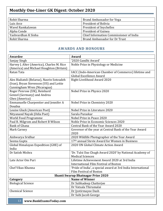| Rohit Sharma        | Brand Ambassador for Vega               |
|---------------------|-----------------------------------------|
| Luis Arce           | President of Bolivia                    |
| Wavel Ramkalawan    | President of Seychelles                 |
| Alpha Conde         | President of Guinea                     |
| Yashvardhan K Sinha | Chief Information Commissioner of India |
| Rohit Sharma        | Brand Ambassador for Dr Trust           |

# **AWARDS AND HONOURS**

<span id="page-13-0"></span>

| <b>Awardee</b>                             | Award                                                        |
|--------------------------------------------|--------------------------------------------------------------|
| Sanjay Singh                               | '2020 Gandhi Award'                                          |
| Harvey J. Alter (America), Charles M. Rice | Noble Prize in Physiology or Medicine                        |
| (America) and Michael Houghton (Britain)   |                                                              |
| Ratan Tata                                 | IACC (Indo-American Chamber of Commerce) lifetime and        |
|                                            | Global Excellence Award                                      |
| Ales Bialiatsli (Belarus), Nasrin Sotoudeh | Right Livelihood Award 2020                                  |
| (Iran), Bryan Stevenson (US) and Lottie    |                                                              |
| Cunningham Wren (Nicaragua)                |                                                              |
| Roger Penrose (UK), Reinhard               | Nobel Prize in Physics 2020                                  |
| Genzel (Germany) and Andrea                |                                                              |
| Ghez (America)                             |                                                              |
| Emmanuelle Charpentier and Jennifer A      | Nobel Prize in Chemistry 2020                                |
| Doudna                                     |                                                              |
| Louise Gluck (American Poet)               | Nobel Prize in Literature 2020                               |
| Nityanand Nayak (Odia Poet)                | Sarala Puraskar                                              |
| World Food Programme                       | Nobel Prize in Peace 2020                                    |
| Paul R. Milgrom and Robert B Wilson        | Noble Prize in Economic Sciences 2020                        |
| <b>Bank of Ghana</b>                       | Central Bank of the Year Award 2020                          |
| Mark Carney                                | Governor of the year at Central Bank of the Year Award       |
|                                            | 2020                                                         |
| Aishwarya Sridhar                          | 2020 Wildlife Photographer of the Year Award                 |
| Seema Gupta                                | 17th annual Stevie Award for Women in Business               |
| Global Himalayan Expedition (GHE) of       | 2020 UN Global Climate Action Award                          |
| India                                      |                                                              |
| Dr Satish Mishra                           | 'Dr. Tulsi Das Chugh Award 2020' by National Academy of      |
|                                            | <b>Medical Sciences</b>                                      |
| Late Actor Om Puri                         | Lifetime Achievement Award 2020 at 3rd India                 |
|                                            | International Film Festival of Boston                        |
| Chef Vikas Khanna                          | 'Pride of India', a special award at 3rd India International |
|                                            | <b>Film Festival of Boston</b>                               |
|                                            | <b>Shanti Swarup Bhatnagar Prize 2020</b>                    |
| Category                                   | <b>Name of Winner</b>                                        |
| <b>Biological Science</b>                  | Dr Subhadeep Chatterjee                                      |
|                                            | Dr Vatsala Thirumalai                                        |
| <b>Chemical Science</b>                    | Dr Jyotirmayee Dash                                          |
|                                            | Dr Subi Jacob George                                         |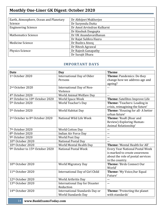| Earth, Atmosphere, Ocean and Planetary | Dr Abhijeet Mukherjee      |
|----------------------------------------|----------------------------|
| Science                                | Dr Suryendu Dutta          |
| <b>Engineering Science</b>             | Dr Amol Arvindrao Kulkarni |
|                                        | Dr Kinshuk Dasgupta        |
| <b>Mathematics Science</b>             | Dr UK Anandavardhanan      |
|                                        | Dr Rajat Subhra Hazra      |
| Medicine Science                       | Dr Bushra Ateeq            |
|                                        | Dr Ritesh Agrawal          |
| <b>Physics Science</b>                 | Dr Rajesh Ganapathy        |
|                                        | Dr Surajit Dhara           |

### **IMPORTANT DAYS**

<span id="page-14-0"></span>

| <b>Date</b>                                              | <b>Day</b>                            | <b>Theme</b>                           |
|----------------------------------------------------------|---------------------------------------|----------------------------------------|
| 1st October 2020                                         | International Day of Older            | Theme: Pandemics: Do they              |
|                                                          | Persons                               | change how we address age and          |
|                                                          |                                       | ageing?                                |
| 2 <sup>nd</sup> October 2020                             | International Day of Non-             | $\sim$ $\sim$                          |
|                                                          | Violence                              |                                        |
| 4 <sup>th</sup> October 2020                             | World Animal Welfare Day              | $\sim$ $\sim$                          |
| 4 <sup>th</sup> October to 10 <sup>th</sup> October 2020 | World Space Week                      | Theme: Satellites Improve Life         |
| 5 <sup>th</sup> October 2020                             | World Teacher's Day                   | Theme: 'Teachers: Leading in           |
|                                                          |                                       | crisis, reimagining the future'        |
| 5 <sup>th</sup> October 2020                             | World Habitat Day                     | Theme: 'Housing for all-A better       |
|                                                          |                                       | urban future'                          |
| 2 <sup>nd</sup> October to 8 <sup>th</sup> October 2020  | National Wild Life Week               | Theme: 'RoaR (Roar and                 |
|                                                          |                                       | Review)-Exploring Human-               |
|                                                          |                                       | Animal Relationship'                   |
| 7 <sup>th</sup> October 2020                             | <b>World Cotton Day</b>               | $\overline{\phantom{a}}$               |
| 8 <sup>th</sup> October 2020                             | Indian Air Force Day                  | $\overline{a}$                         |
| 9th October 2020                                         | World Post Day                        | --                                     |
| 10th October 2020                                        | <b>National Postal Day</b>            |                                        |
| 10th October 2020                                        | World Mental Health Day               | Theme: 'Mental Health for All'         |
| 9th October to 15th October 2020                         | <b>National Postal Week</b>           | <b>Every Year National Postal Week</b> |
|                                                          |                                       | is marked to create awareness          |
|                                                          |                                       | about the role of postal services      |
|                                                          |                                       | in the country.                        |
| 10th October 2020                                        | <b>World Migratory Day</b>            | <b>Theme: 'Birds Connect Our</b>       |
|                                                          |                                       | World'                                 |
| 11 <sup>th</sup> October 2020                            | International Day of Girl Child       | Theme: 'My Voice, Our Equal            |
|                                                          |                                       | Future'                                |
| 12th October 2020                                        | World Arthritis Day                   | $\overline{a}$                         |
| 13th October 2020                                        | <b>International Day for Disaster</b> | $\sim$ $\sim$                          |
|                                                          | Reduction                             |                                        |
| 14th October 2020                                        | International Standards Day or        | Theme: 'Protecting the planet          |
|                                                          | World Standards Day                   | with standards'                        |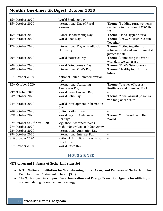| 15th October 2020             | <b>World Students Day</b>               | $\overline{a}$                   |
|-------------------------------|-----------------------------------------|----------------------------------|
| 15th October 2020             | <b>International Day of Rural</b>       | Theme: 'Building rural women's   |
|                               | Women                                   | resilience in the wake of COVID- |
|                               |                                         | 19'                              |
| 15th October 2020             | Global Handwashing Day                  | Theme: 'Hand Hygiene for all'    |
| 16th October 2020             | World Food Day                          | Theme: 'Grow, Nourish, Sustain   |
|                               |                                         | Together'                        |
| 17th October 2020             | <b>International Day of Eradication</b> | Theme: 'Acting together to       |
|                               | of Poverty                              | achieve social and environmental |
|                               |                                         | justice for all'                 |
| 20th October 2020             | <b>World Statistics Day</b>             | Theme: 'Connecting the World     |
|                               |                                         | with data we can trust'          |
| 20th October 2020             | World Osteoporosis Day                  | Theme: 'That's Osteoporosis'     |
| 20th October 2020             | <b>International Chef's Day</b>         | Theme: 'Healthy food for the     |
|                               |                                         | future'                          |
| 21st October 2020             | National Police Commemoration           | $\overline{a}$                   |
|                               | Day                                     |                                  |
|                               |                                         |                                  |
| 22 <sup>nd</sup> October 2020 | <b>International Stuttering</b>         | Theme: 'Journey of Words-        |
|                               | <b>Awareness Day</b>                    | Resilience and Bouncing Back'    |
| 23rd October 2020             | World Snow Leopard Day                  |                                  |
| 24th October 2020             | World Polio Day                         | Theme: 'A win against polio is a |
|                               |                                         | win for global health'           |
| 24th October 2020             | World Development Information           | ۰.                               |
|                               | Day                                     |                                  |
| 24th October 2020             | <b>United Nations Day</b>               | --                               |
| 27th October 2020             | World Day for Audiovisual               | Theme: Your Window to the        |
|                               | Heritage                                | World                            |
| 27th October to 2nd Nov 2020  | Vigilance Awareness Week                | --                               |
| 27th October 2020             | 74th Infantry Day of Indian Army        | ۰.                               |
| 28th October 2020             | <b>International Animation Day</b>      | $\overline{\phantom{a}}$         |
| 29th October 2020             | <b>International Internet Day</b>       | --                               |
| 31st October 2020             | National Unity Day or Rashtriya         | $\overline{\phantom{a}}$         |
|                               | Ekta Diwas                              |                                  |

### **MOUS SIGNED**

### <span id="page-15-0"></span>**NITI Aayog and Embassy of Netherland signs SoI**

- **NITI (National Institution for Transforming India) Aayog and Embassy of Netherland**, New Delhi has signed Statement of Intent (SoI).
- The SoI is signed **to support Decarbonization and Energy Transition Agenda for utilising** and accommodating cleaner and more energy.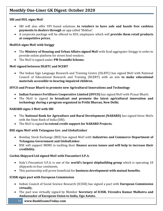### **SBI and HUL signs MoU**

- SBI will also offer UPI based solutions **to retailers to have safe and hassle free cashless payments to dealers through** an app called 'Shikhar'.
- A corporate package will be offered to HUL employees which will **provide them retail products at competitive prices.**

### **MoHUA signs MoU with Swiggy**

- The **Ministry of Housing and Urban Affairs signed MoU** with food aggregator Swiggy in order to provide online platform for street food vendors.
- The MoU is signed under **PM Svanidhi Scheme.**

### **MoU signed between ISLRTC and NCERT**

 The Indian Sign Language Research and Training Centre (ISLRTC) has signed MoU with National Council of Educational Research and Training (NCERT) with an aim **to make educational materials accessible to hearing-impaired children.**

### **IFFCO and Prasar Bharti to promote new Agricultural Innovations and Technology**

- **Indian Farmers Fertilisers Cooperative Limited (IFFCO)** has signed MoU with Prasar Bharti.
- The MoU is signed **to broadcast and promote the latest agricultural innovation and technology during a program organized in Prithi Bhavan, New Delhi.**

### **NABARD signs 3 MoU with SBI**

- The **National Bank for Agriculture and Rural Development (NABARD)** has signed three MoUs with the State Bank of India (SBI).
- The MoU is signed **to extend credit support for NABARD Projects.**

### **BSE signs MoU with Telangana Gov. and GlobalLinker**

- Bombay Stock Exchange (BSE) has signed MoU with **Industries and Commerce Department of Telangana Government and GlobalLinker.**
- BSE will support MSME in tackling their **finance access issues and will help to increase their credibility.**

### **Cochin Shipyard Ltd signed MoU with Fincantieri S.P.A.**

- Italy's Fincantieri S.P.A. is one of the **world's largest shipbuilding group** which is operating 18 shipyards in four continents.
- This partnership will prove beneficial for **business development with mutual benefits.**

### **ICSSR signs pact with European Commission**

- Indian Council of Social Science Research (ICSSR) has signed a pact with **European Commission virtually.**
- The pact was virtually signed by Member **Secretary of ICSSR, Virendra Kumar Malhotra and Ambassador of European Union to India, Ugo Astuto.**
	- 16 **www.BankExamsToday.com**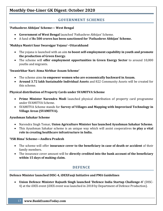### **GOVERNMENT SCHEMES**

### <span id="page-17-0"></span>**'Pathashree Abhijan' Scheme— West Bengal**

- **Government of West Bengal** launched 'Pathashree Abhijan' Scheme.
- A fund of **Rs 500 crores has been sanctioned for 'Pathashree Abhijan' Scheme.**

### **'Mukhya Mantri Saur Swarojgar Yojana'--Uttarakhand**

- The yojana is launched with an aim **to boost self-employment capability in youth and promote the production of Green Energy.**
- The scheme will **offer employment opportunities in Green Energy Sector** to around 10,000 youths and migrants.

### **'Swanirbhar Nari: Atma Nirbhar Assam Scheme'**

- The scheme aims **to empower women who are economically backward in Assam.**
- **Around 3.72 lakh Sustainable Individual Assets** and 822 Community Assets will be created for this scheme.

### **Physical distribution of Property Cards under SVAMITVA Scheme**

- **Prime Minister Narendra Modi** launched physical distribution of property card programme under SVAMITVA Scheme.
- SVAMITVA Scheme stands for **Survey of Villages and Mapping with Improvised Technology in Village Areas (SVAMITVA).**

### **Ayushman Sahakar Scheme**

- Narendra Singh Tomar, **Union Agriculture Minister has launched Ayushman Sahakar Scheme.**
- This Ayushman Sahakar scheme is an unique way which will assist cooperatives **to play a vital role in creating healthcare infrastructure in India.**

### **'YSR Bima' Scheme—Andhra Pradesh**

- The scheme will offer **insurance cover to the beneficiary in case of death or accident** of their family members.
- The insurance cover amount will be **directly credited into the bank account of the beneficiary within 15 days of making claim.**

### **DEFENCE**

### <span id="page-17-1"></span>**Defence Minister launched DISC-4, iDEXFauji Initiative and PMA Guidelines**

 **Union Defence Minister Rajnath Singh launched 'Defence India Startup Challenge-4'** (DISC-4) at the iDEX event (iDEX event was launched in 2018 by Department of Defence Production).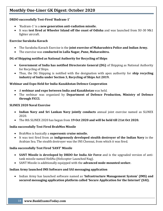### **DRDO successfully Test-Fired 'Rudram-1'**

- 'Rudram-1' is a **new generation anti-radiation missile.**
- It was **test fired at Wheeler Island off the coast of Odisha** and was launched from SU-30 Mk1 fighter aircraft.

### **Exercise Suraksha Kavach**

- The Suraksha Kavach Exercise is the **joint exercise of Maharashtra Police and Indian Army.**
- The exercise was **conducted in Lulla Nagar, Pune, Maharashtra.**

### **DG of Shipping notified as National Authority for Recycling of Ships**

- **Government of India has notified Directorate General (DG)** of Shipping as National Authority for Recycling of Ships.
- Thus, the DG Shipping is notified with the designation with apex authority for **ship recycling industry of India under Section 3, Recycling of Ships Act 2019.**

### **Webinar and Expo Held for India-Kazakhstan Defence Cooperation**

- A **webinar and expo between India and Kazakhstan** was held.
- The webinar was organized by **Department of Defence Production, Ministry of Defence through FICCI.**

### **SLINEX 2020 Naval Exercise**

- **Indian Navy and Sri Lankan Navy jointly conducts** annual joint exercise named as SLINEX 2020.
- The 8th SLINEX 2020 has begun from **19 Oct 2020 and will be held till 21st Oct 2020.**

### **India successfully Test Fired BrahMos Missile**

- BrahMos is basically a **supersonic cruise missile.**
- It was test fired from an **indigenously developed stealth destroyer of the Indian Navy** in the Arabian Sea. The stealth destroyer was the INS Chennai, from which it was fired.

### **India successfully Test Fired 'SANT' Missile**

- **SANT Missile is developed by DRDO for India Air Force** and is the upgraded version of antitank missile named HeliNa (Helicopter Launched Nag).
- SANT Missile is additionally equipped with the **advanced node-mounted seeker.**

### **Indian Army launched IMS Software and SAI messaging application**

 Indian Army has launched software named as **'Infrastructure Management System' (IMS) and secured messaging application platform called 'Secure Application for the Internet' (SAI).**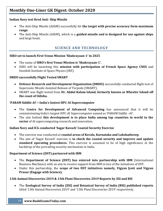### **Indian Navy test fired Anti- Ship Missile**

- The Anti-Ship Missile (AShM) successfully hit **the target with precise accuracy form maximum range.**
- The Anti-Ship Missile (AShM), which is a **guided missile and is designed for use against ships** and large boats.

# **SCIENCE AND TECHNOLOGY**

### <span id="page-19-0"></span>**ISRO set to launch First Venus Mission 'Shukrayaan-1' in 2025**

- The name of **ISRO's first Venus Mission is 'Shukrayaan-1'.**
- ISRO will be launching this **mission with participation of French Space Agency CNES** and Swedish Institute of Space Physics (IRF).

### **DRDO successfully Flight Tested SMART**

- **Defence Research and Development Organisation (DRDO)** successfully conducted flight test of Supersonic Missile Assisted Release of Torpedo (SMART).
- SMART was flight tested from **Dr. Abdul Kalam Island, formerly known as Wheeler Island off the coast of Odisha.**

### **'PARAM Siddhi-AI'—India's fastest HPC-AI Supercomputer**

- The **Centre for Development of Advanced Computing** has announced that it will be commissioning India's largest HPC-AI Supercomputer named as 'PARAM Siddhi –AI'.
- The aim behind **this development is to place India among top countries in world in the sector** of AI supercomputing research and innovation.

### **Indian Navy and ICG conducted 'Sagar Kavach' Coastal Security Exercise**

- The exercise was conducted at **coastal areas of Kerala, Karnataka and Lakshadweep.**
- The aim of 'Sagar Kavach' exercise is **to check the coastal security and improve and update standard operating procedures.** This exercise is assumed to be of high significance in the backdrop of the prevailing security mechanism in India.

### **Department of Science (DST) partnered with IBM**

- The **Department of Science (DST) has entered into partnership with IBM** (International Business Machines) with an aim to receive support from IBM in two of the initiatives of DST.
- Under this partnership, the **scope of two DST initiatives namely, Vigyan Jyoti and Vigyan Prasar (Engage with Science).**

### **13th Animal Discoveries 2019 & 13th Plant Discoveries 2019 Reports by ZSI and BSI**

 The **Zoological Survey of India (ZSI) and Botanical Survey of India (BSI) published reports** titled '13th Animal Discoveries 2019' and '13th Plant Discoveries 2019' respectively.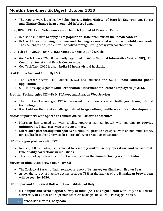The reports were launched by Babul Supriyo, **Union Minister of State for Environment, Forest and Climate Change in an event held in West Bengal.**

### **Intel, IIIT-H, PHFI and Telangana Gov. to launch Applied AI Research Center**

- INAI is an initiative **to apply AI to population-scale problems in the Indian context.**
- INAI will focus on **solving problems and challenges associated with smart mobility segments.** The challenges and problem will be solved through strong ecosystem collaboration.

### **Gov Tech Thon 2020—By NIC, IEEE Computer Society and Oracle**

- Gov Tech Thon 2020 will be jointly organized by **GOI's National Informatics Centre (NIC), IEEE Computer Society and Oracle Corporation.**
- Gov Tech Thon 2020 is a pan **India 36 hours virtual hackathon.**

### **SCALE India Android App—By LSSC**

- The Leather Sector Skill Council (LSSC) has launched **the SCALE India Android phone application.**
- SCALE India app signifies **Skill Certification Assessment for Leather Employees (SCALE).**

### **Frontier Technologies CIC—By NITI Aayog and Amazon Web Services**

- The Frontier Technologies CIC is developed **to address societal challenges through digital technology.**
- It will address the societal challenges related **to agriculture, healthcare and skill development.**

### **Microsoft partners with SpaceX to connect Azure Platform to Satellites**

- Microsoft has teamed up with satellite operator named SpaceX with an aim **to provide uninterrupted Azure service to its customers.**
- **Microsoft's partnership with SpaceX Starlink** will provide high speed with an minimum latency for satellite broadband service for Microsoft's Azure Modular Datacenter.

### **IIT Kharagpur partners with TCS**

- Industry 4.0 technology is developed to remotely control factory operations and to have real**time quality corrections in industries.**
- This technology is developed **to set a new trend in the manufacturing sector of India.**

### **Survey on Himalayan Brown Bear—By ZSI**

- The Zoological Survey of India released a report of its **survey on Himalayan Brown Bear.**
- As per the survey, a massive decline of about 73% in the habitat of the **Himalayan brown bear will be seen by 2050.**

### **IIT Kanpur and ASI signed MoU with two Institutes of Italy**

- **IIT Kanpur and Archeological Survey of India (ASI) has signed Mou with Italy's Ca' Foscari University of Venice** and Soprintendenza Archeologia, Belle Arti E Paesaggio, Venice.
	- 20 **www.BankExamsToday.com**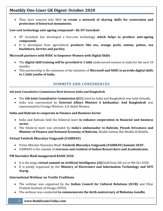They have entered into MoU **to create a network of sharing skills for restoration and protection of historical monuments.**

### **Low cost technology anti-ageing compound—By IIT Guwahati**

- IIT Guwahati has developed a low-cost technology **which helps to produce anti-ageing compounds.**
- It is developed from agricultural **products like tea, orange peels, onions, pulses, sea buckthorn, berries and parsley.**

### **Microsoft partners with NSDC to Empower Women with Digital Skills**

- The **digital skill training will be provided to 1 lakh** underserved women in India for the next 10 months.
- This partnership is the extension of the initiative of **Microsoft and NSDC to provide digital skills to 1 lakh youths of India.**

## **SUMMITS AND CONFERENCES**

#### <span id="page-21-0"></span>**6th Joint Consultative Commission Meet between India and Bangladesh**

- The **6th Joint Consultative Commission (JCC)** meet by India and Bangladesh was held virtually.
- India was represented by **External Affairs Minister S Jaishankar. And Bangladesh** was represented by Foreign Minister, A K Abdul Momen.

### **India and Bahrain to cooperate in Finance and Business Sector**

- India and Bahrain held the bilateral meet **to enhance cooperation in financial and business sector.**
- The bilateral meet was attended by **India's ambassador to Bahrain, Piyush Srivastava and Minister of Finance and National Economy of Bahrain,** Shaikh Salman Bin Khalifa Al Khalifa.

### **Virtual Vaishvik Bharatiya Vaigyanik (VAIBHAV)**

- Prime Minister Narendra Modi **'Vaishvik Bharatiya Vaigyanik (VAIBHAV) Summit 2020'.**
- VAIBHAV is the summit of **overseas and resident of Indian Researchers and Academicians.**

### **PM Narendra Modi inaugurated RAISE 2020**

- It is the mega **virtual summit on Artificial Intelligence (AI)** held from 5th oct to 9th Oct 2020.
- It is jointly organized by the **Ministry of Electronics and Information Technology and NITI Aayog.**

### **International Webinar on Textile Traditions**

- The webinar was organized by the **Indian Council for Cultural Relations (ICCR)** and Uttar Pradesh Institute of Design (UPID).
- The webinar was conducted **to commemorate the birth anniversary of Mahatma Gandhi.**
	- 21 **www.BankExamsToday.com**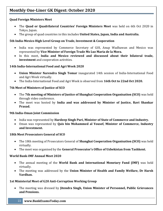### **Quad Foreign Ministers Meet**

- The **Quad or Quadrilateral Countries' Foreign Ministers Meet** was held on 6th Oct 2020 in Tokyo, Japan.
- The group of quad countries in this includes **United States, Japan, India and Australia.**

### **5th India-Mexico High Level Group on Trade, Investment & Cooperation**

- India was represented by Commerce Secretary of GOI, Anup Wadhawan and Mexico was represented by **Vice Minister of Foreign Trade Ms Luz Maria de la Mora.**
- In this meet, **India and Mexico reviewed and discussed about their bilateral trade, investment** and cooperation activities.

### **14th India-International Food and Agri Week 2020**

- **Union Minister Narendra Singh Tomar** inaugurated 14th session of India-International Food and Agri Week virtually.
- The India-International Food and Agri Week is observed from **16th Oct to 22nd Oct 2020.**

### **7th Meet of Ministers of Justice of SCO**

- The **7th meeting of Ministers of Justice of Shanghai Cooperation Organisation (SCO)** was held through video conference.
- The meet was hosted by **India and was addressed by Minister of Justice, Ravi Shankar Prasad.**

### **9th India-Oman Joint Commission**

- India was represented by **Hardeep Singh Puri, Minister of State of Commerce and Industry.**
- Oman was represented by **Qais bin Mohammed al Yousef, Minister of Commerce, Industry and Investment.**

### **18th Meet Prosecutors General of SCO**

- The 18th meeting of Prosecutors General of **Shanghai Cooperation Organisation (SCO)** was held virtually.
- The meet was organised by the **General Prosecutor's Office of Uzbekistan from Tashkent.**

### **World Bank-IMF Annual Meet 2020**

- The annual meeting of the **World Bank and International Monetary Fund (IMF)** was held virtually.
- The meeting was addressed by the **Union Minister of Health and Family Welfare, Dr Harsh Vardhan.**

### **1st Ministerial Meet of G20 Anti-Corruption Working Group**

- The meeting was dressed by **Jitendra Singh, Union Minister of Personnel, Public Grievances and Pensions.**
	- 22 **www.BankExamsToday.com**